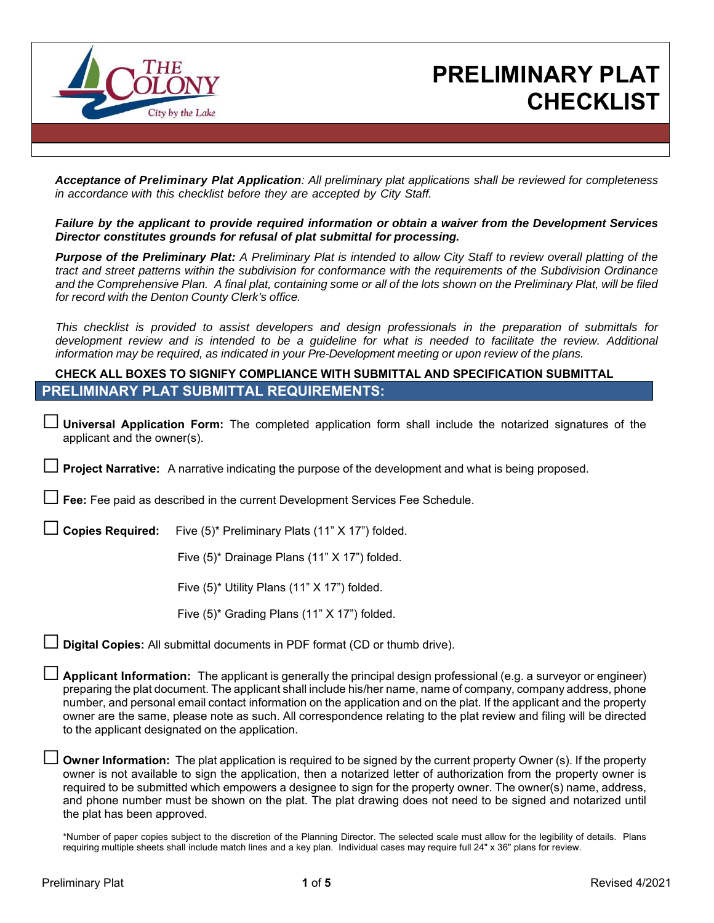

## **PRELIMINARY PLAT CHECKLIST**

*Acceptance of Preliminary Plat Application: All preliminary plat applications shall be reviewed for completeness in accordance with this checklist before they are accepted by City Staff.* 

*Failure by the applicant to provide required information or obtain a waiver from the Development Services Director constitutes grounds for refusal of plat submittal for processing.* 

*Purpose of the Preliminary Plat: A Preliminary Plat is intended to allow City Staff to review overall platting of the tract and street patterns within the subdivision for conformance with the requirements of the Subdivision Ordinance and the Comprehensive Plan. A final plat, containing some or all of the lots shown on the Preliminary Plat, will be filed for record with the Denton County Clerk's office.*

*This checklist is provided to assist developers and design professionals in the preparation of submittals for development review and is intended to be a guideline for what is needed to facilitate the review. Additional information may be required, as indicated in your Pre-Development meeting or upon review of the plans.* 

### **CHECK ALL BOXES TO SIGNIFY COMPLIANCE WITH SUBMITTAL AND SPECIFICATION SUBMITTAL PRELIMINARY PLAT SUBMITTAL REQUIREMENTS:**

□ **Universal Application Form:** The completed application form shall include the notarized signatures of the applicant and the owner(s).

**Project Narrative:** A narrative indicating the purpose of the development and what is being proposed.

Fee: Fee paid as described in the current Development Services Fee Schedule.

□ **Copies Required:** Five (5)\* Preliminary Plats (11" X 17") folded.

Five (5)\* Drainage Plans (11" X 17") folded.

Five (5)\* Utility Plans (11" X 17") folded.

Five (5)\* Grading Plans (11" X 17") folded.

**Digital Copies:** All submittal documents in PDF format (CD or thumb drive).

□ **Applicant Information:** The applicant is generally the principal design professional (e.g. a surveyor or engineer) preparing the plat document. The applicant shall include his/her name, name of company, company address, phone number, and personal email contact information on the application and on the plat. If the applicant and the property owner are the same, please note as such. All correspondence relating to the plat review and filing will be directed to the applicant designated on the application.

**Owner Information:** The plat application is required to be signed by the current property Owner (s). If the property owner is not available to sign the application, then a notarized letter of authorization from the property owner is required to be submitted which empowers a designee to sign for the property owner. The owner(s) name, address, and phone number must be shown on the plat. The plat drawing does not need to be signed and notarized until the plat has been approved.

\*Number of paper copies subject to the discretion of the Planning Director. The selected scale must allow for the legibility of details. Plans requiring multiple sheets shall include match lines and a key plan. Individual cases may require full 24" x 36" plans for review.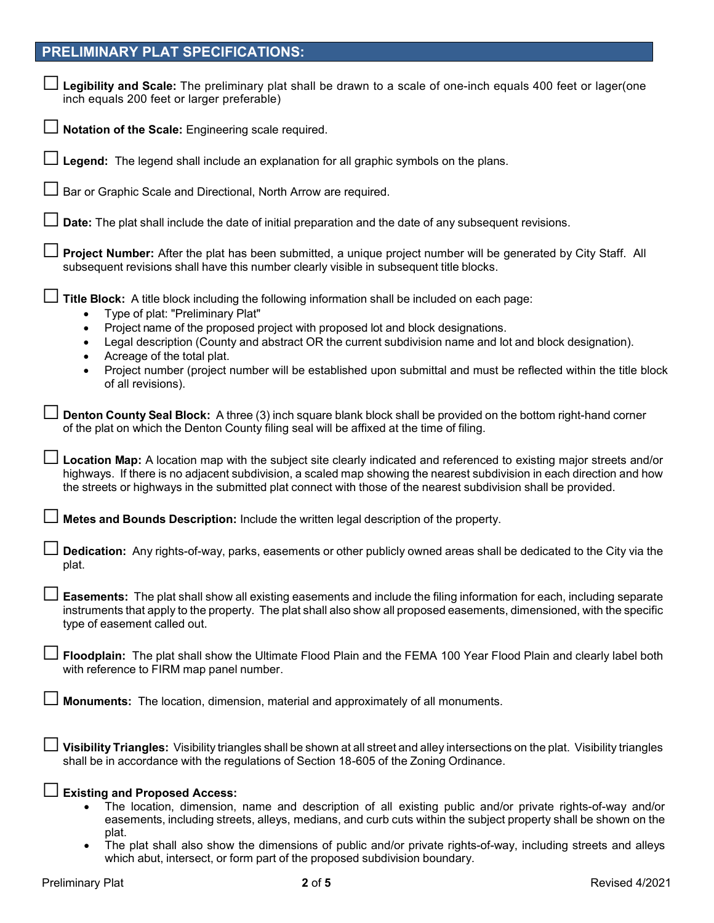## **PRELIMINARY PLAT SPECIFICATIONS:**

| Legibility and Scale: The preliminary plat shall be drawn to a scale of one-inch equals 400 feet or lager(one<br>inch equals 200 feet or larger preferable)                                                                                                                                                                                                     |
|-----------------------------------------------------------------------------------------------------------------------------------------------------------------------------------------------------------------------------------------------------------------------------------------------------------------------------------------------------------------|
| Notation of the Scale: Engineering scale required.                                                                                                                                                                                                                                                                                                              |
| Legend: The legend shall include an explanation for all graphic symbols on the plans.                                                                                                                                                                                                                                                                           |
| Bar or Graphic Scale and Directional, North Arrow are required.                                                                                                                                                                                                                                                                                                 |
| Date: The plat shall include the date of initial preparation and the date of any subsequent revisions.                                                                                                                                                                                                                                                          |
| Project Number: After the plat has been submitted, a unique project number will be generated by City Staff. All<br>subsequent revisions shall have this number clearly visible in subsequent title blocks.                                                                                                                                                      |
| Title Block: A title block including the following information shall be included on each page:<br>Type of plat: "Preliminary Plat"<br>$\bullet$                                                                                                                                                                                                                 |
| Project name of the proposed project with proposed lot and block designations.<br>$\bullet$<br>Legal description (County and abstract OR the current subdivision name and lot and block designation).<br>$\bullet$<br>Acreage of the total plat.<br>$\bullet$                                                                                                   |
| Project number (project number will be established upon submittal and must be reflected within the title block<br>$\bullet$<br>of all revisions).                                                                                                                                                                                                               |
| $\perp$ Denton County Seal Block: A three (3) inch square blank block shall be provided on the bottom right-hand corner<br>of the plat on which the Denton County filing seal will be affixed at the time of filing.                                                                                                                                            |
| Location Map: A location map with the subject site clearly indicated and referenced to existing major streets and/or<br>highways. If there is no adjacent subdivision, a scaled map showing the nearest subdivision in each direction and how<br>the streets or highways in the submitted plat connect with those of the nearest subdivision shall be provided. |
| Metes and Bounds Description: Include the written legal description of the property.                                                                                                                                                                                                                                                                            |
| Dedication: Any rights-of-way, parks, easements or other publicly owned areas shall be dedicated to the City via the<br>plat.                                                                                                                                                                                                                                   |
| Easements: The plat shall show all existing easements and include the filing information for each, including separate<br>instruments that apply to the property. The plat shall also show all proposed easements, dimensioned, with the specific<br>type of easement called out.                                                                                |
| Floodplain: The plat shall show the Ultimate Flood Plain and the FEMA 100 Year Flood Plain and clearly label both<br>with reference to FIRM map panel number.                                                                                                                                                                                                   |
| <b>Monuments:</b> The location, dimension, material and approximately of all monuments.                                                                                                                                                                                                                                                                         |
| Visibility Triangles: Visibility triangles shall be shown at all street and alley intersections on the plat. Visibility triangles<br>shall be in accordance with the regulations of Section 18-605 of the Zoning Ordinance.                                                                                                                                     |
| <b>Existing and Proposed Access:</b><br>The location, dimension, name and description of all existing public and/or private rights-of-way and/or<br>easements, including streets, alleys, medians, and curb cuts within the subject property shall be shown on the                                                                                              |
| plat.<br>The plat shall also show the dimensions of public and/or private rights-of-way, including streets and alleys<br>$\bullet$<br>which abut, intersect, or form part of the proposed subdivision boundary.                                                                                                                                                 |

Preliminary Plat **2** of **5** Revised 4/2021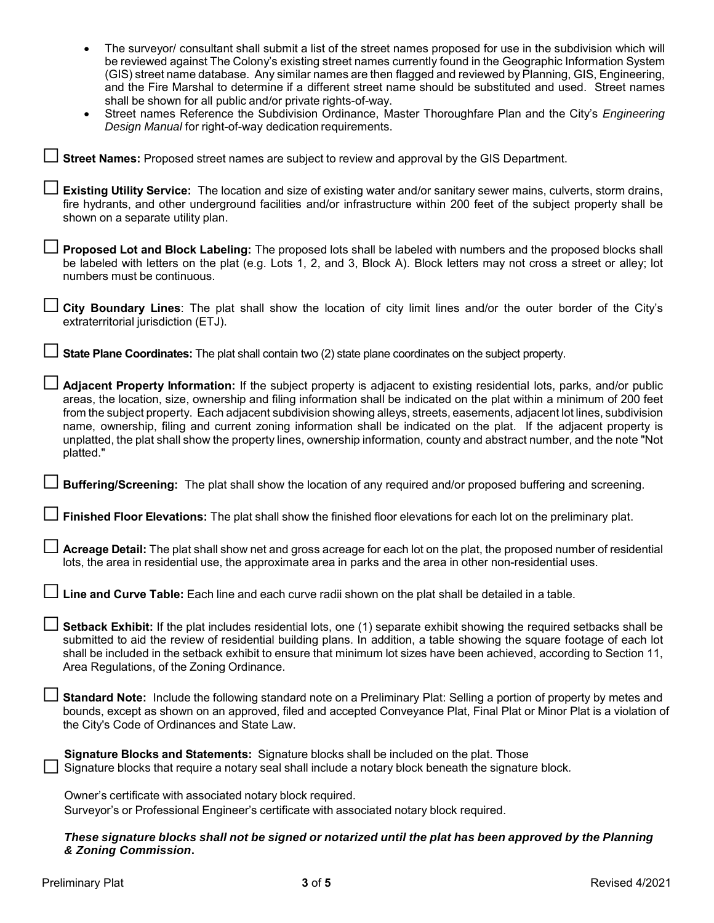| The surveyor/ consultant shall submit a list of the street names proposed for use in the subdivision which will<br>be reviewed against The Colony's existing street names currently found in the Geographic Information System<br>(GIS) street name database. Any similar names are then flagged and reviewed by Planning, GIS, Engineering,<br>and the Fire Marshal to determine if a different street name should be substituted and used. Street names<br>shall be shown for all public and/or private rights-of-way.<br>Street names Reference the Subdivision Ordinance, Master Thoroughfare Plan and the City's Engineering<br>Design Manual for right-of-way dedication requirements. |
|----------------------------------------------------------------------------------------------------------------------------------------------------------------------------------------------------------------------------------------------------------------------------------------------------------------------------------------------------------------------------------------------------------------------------------------------------------------------------------------------------------------------------------------------------------------------------------------------------------------------------------------------------------------------------------------------|
| $\Box$ Street Names: Proposed street names are subject to review and approval by the GIS Department.                                                                                                                                                                                                                                                                                                                                                                                                                                                                                                                                                                                         |
| $\Box$ Existing Utility Service: The location and size of existing water and/or sanitary sewer mains, culverts, storm drains,<br>fire hydrants, and other underground facilities and/or infrastructure within 200 feet of the subject property shall be<br>shown on a separate utility plan.                                                                                                                                                                                                                                                                                                                                                                                                 |
| $\perp$ Proposed Lot and Block Labeling: The proposed lots shall be labeled with numbers and the proposed blocks shall<br>be labeled with letters on the plat (e.g. Lots 1, 2, and 3, Block A). Block letters may not cross a street or alley; lot<br>numbers must be continuous.                                                                                                                                                                                                                                                                                                                                                                                                            |
| □ City Boundary Lines: The plat shall show the location of city limit lines and/or the outer border of the City's<br>extraterritorial jurisdiction (ETJ).                                                                                                                                                                                                                                                                                                                                                                                                                                                                                                                                    |
| <b>State Plane Coordinates:</b> The plat shall contain two (2) state plane coordinates on the subject property.                                                                                                                                                                                                                                                                                                                                                                                                                                                                                                                                                                              |
| $\Box$ Adjacent Property Information: If the subject property is adjacent to existing residential lots, parks, and/or public<br>areas, the location, size, ownership and filing information shall be indicated on the plat within a minimum of 200 feet<br>from the subject property. Each adjacent subdivision showing alleys, streets, easements, adjacent lot lines, subdivision<br>name, ownership, filing and current zoning information shall be indicated on the plat. If the adjacent property is<br>unplatted, the plat shall show the property lines, ownership information, county and abstract number, and the note "Not<br>platted."                                            |
| ∟ Buffering/Screening: The plat shall show the location of any required and/or proposed buffering and screening.                                                                                                                                                                                                                                                                                                                                                                                                                                                                                                                                                                             |
| <b>I</b> Finished Floor Elevations: The plat shall show the finished floor elevations for each lot on the preliminary plat.                                                                                                                                                                                                                                                                                                                                                                                                                                                                                                                                                                  |
| └┘ Acreage Detail: The plat shall show net and gross acreage for each lot on the plat, the proposed number of residential<br>lots, the area in residential use, the approximate area in parks and the area in other non-residential uses.                                                                                                                                                                                                                                                                                                                                                                                                                                                    |
| $\Box$ Line and Curve Table: Each line and each curve radii shown on the plat shall be detailed in a table.                                                                                                                                                                                                                                                                                                                                                                                                                                                                                                                                                                                  |
| $\Box$ Setback Exhibit: If the plat includes residential lots, one (1) separate exhibit showing the required setbacks shall be<br>submitted to aid the review of residential building plans. In addition, a table showing the square footage of each lot<br>shall be included in the setback exhibit to ensure that minimum lot sizes have been achieved, according to Section 11,<br>Area Regulations, of the Zoning Ordinance.                                                                                                                                                                                                                                                             |
| Standard Note: Include the following standard note on a Preliminary Plat: Selling a portion of property by metes and<br>bounds, except as shown on an approved, filed and accepted Conveyance Plat, Final Plat or Minor Plat is a violation of<br>the City's Code of Ordinances and State Law.                                                                                                                                                                                                                                                                                                                                                                                               |
| Signature Blocks and Statements: Signature blocks shall be included on the plat. Those<br>Signature blocks that require a notary seal shall include a notary block beneath the signature block.                                                                                                                                                                                                                                                                                                                                                                                                                                                                                              |
| Owner's certificate with associated notary block required.<br>Surveyor's or Professional Engineer's certificate with associated notary block required.                                                                                                                                                                                                                                                                                                                                                                                                                                                                                                                                       |
| These signature blocks shall not be signed ar notarized until the plat has been approved by the Planning                                                                                                                                                                                                                                                                                                                                                                                                                                                                                                                                                                                     |

*These signature blocks shall not be signed or notarized until the plat has been approved by the Planning & Zoning Commission***.**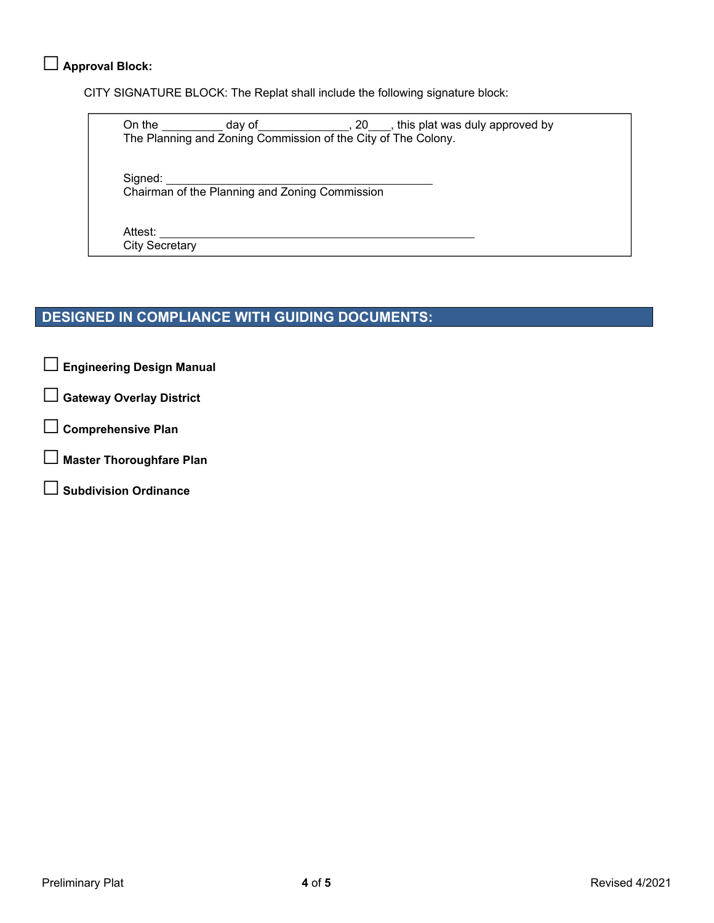## □ **Approval Block:**

CITY SIGNATURE BLOCK: The Replat shall include the following signature block:

On the  $\_\_\_\_\_$  day of  $\_\_\_\_\_\_$ , 20  $\_\_\_\_$ , this plat was duly approved by The Planning and Zoning Commission of the City of The Colony.

Signed:

Chairman of the Planning and Zoning Commission

Attest: City Secretary

## **DESIGNED IN COMPLIANCE WITH GUIDING DOCUMENTS:**

□ **Engineering Design Manual** 

□ **Gateway Overlay District** 

□ **Comprehensive Plan** 

□ **Master Thoroughfare Plan** 

□ **Subdivision Ordinance**